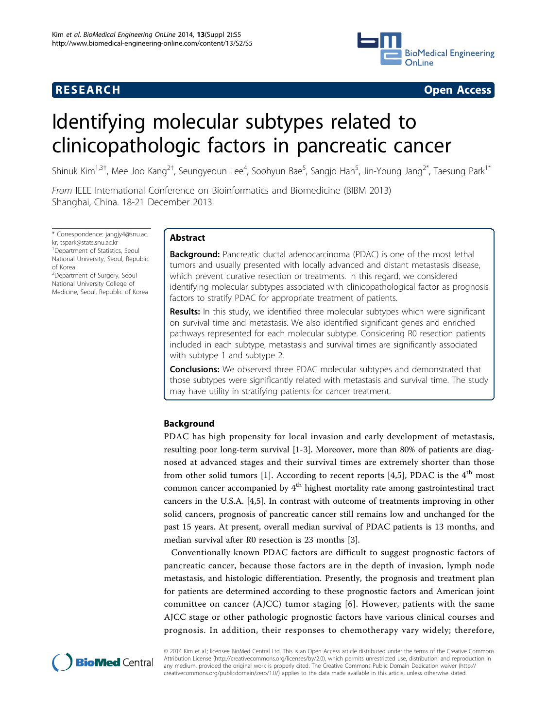# **RESEARCH CONTROL** RESEARCH COMMUNISMENT CONTROL CONTROL CONTROL CONTROL CONTROL CONTROL CONTROL CONTROL CONTROL CONTROL CONTROL CONTROL CONTROL CONTROL CONTROL CONTROL CONTROL CONTROL CONTROL CONTROL CONTROL CONTROL CONTR



# Identifying molecular subtypes related to clinicopathologic factors in pancreatic cancer

Shinuk Kim<sup>1,3†</sup>, Mee Joo Kang<sup>2†</sup>, Seungyeoun Lee<sup>4</sup>, Soohyun Bae<sup>5</sup>, Sangjo Han<sup>5</sup>, Jin-Young Jang<sup>2\*</sup>, Taesung Park<sup>1\*</sup>

From IEEE International Conference on Bioinformatics and Biomedicine (BIBM 2013) Shanghai, China. 18-21 December 2013

\* Correspondence: [jangjy4@snu.ac.](mailto:jangjy4@snu.ac.kr) [kr;](mailto:jangjy4@snu.ac.kr) [tspark@stats.snu.ac.kr](mailto:tspark@stats.snu.ac.kr) <sup>1</sup> Department of Statistics, Seoul National University, Seoul, Republic of Korea <sup>2</sup>Department of Surgery, Seoul

National University College of Medicine, Seoul, Republic of Korea

# Abstract

**Background:** Pancreatic ductal adenocarcinoma (PDAC) is one of the most lethal tumors and usually presented with locally advanced and distant metastasis disease, which prevent curative resection or treatments. In this regard, we considered identifying molecular subtypes associated with clinicopathological factor as prognosis factors to stratify PDAC for appropriate treatment of patients.

**Results:** In this study, we identified three molecular subtypes which were significant on survival time and metastasis. We also identified significant genes and enriched pathways represented for each molecular subtype. Considering R0 resection patients included in each subtype, metastasis and survival times are significantly associated with subtype 1 and subtype 2.

Conclusions: We observed three PDAC molecular subtypes and demonstrated that those subtypes were significantly related with metastasis and survival time. The study may have utility in stratifying patients for cancer treatment.

# Background

PDAC has high propensity for local invasion and early development of metastasis, resulting poor long-term survival [[1-3](#page-9-0)]. Moreover, more than 80% of patients are diagnosed at advanced stages and their survival times are extremely shorter than those from other solid tumors [\[1](#page-9-0)]. According to recent reports [\[4](#page-9-0),[5\]](#page-9-0), PDAC is the  $4<sup>th</sup>$  most common cancer accompanied by  $4<sup>th</sup>$  highest mortality rate among gastrointestinal tract cancers in the U.S.A. [\[4,5](#page-9-0)]. In contrast with outcome of treatments improving in other solid cancers, prognosis of pancreatic cancer still remains low and unchanged for the past 15 years. At present, overall median survival of PDAC patients is 13 months, and median survival after R0 resection is 23 months [[3\]](#page-9-0).

Conventionally known PDAC factors are difficult to suggest prognostic factors of pancreatic cancer, because those factors are in the depth of invasion, lymph node metastasis, and histologic differentiation. Presently, the prognosis and treatment plan for patients are determined according to these prognostic factors and American joint committee on cancer (AJCC) tumor staging [[6](#page-9-0)]. However, patients with the same AJCC stage or other pathologic prognostic factors have various clinical courses and prognosis. In addition, their responses to chemotherapy vary widely; therefore,



© 2014 Kim et al.; licensee BioMed Central Ltd. This is an Open Access article distributed under the terms of the Creative Commons Attribution License [\(http://creativecommons.org/licenses/by/2.0](http://creativecommons.org/licenses/by/2.0)), which permits unrestricted use, distribution, and reproduction in any medium, provided the original work is properly cited. The Creative Commons Public Domain Dedication waiver [\(http://](http://creativecommons.org/publicdomain/zero/1.0/) [creativecommons.org/publicdomain/zero/1.0/](http://creativecommons.org/publicdomain/zero/1.0/)) applies to the data made available in this article, unless otherwise stated.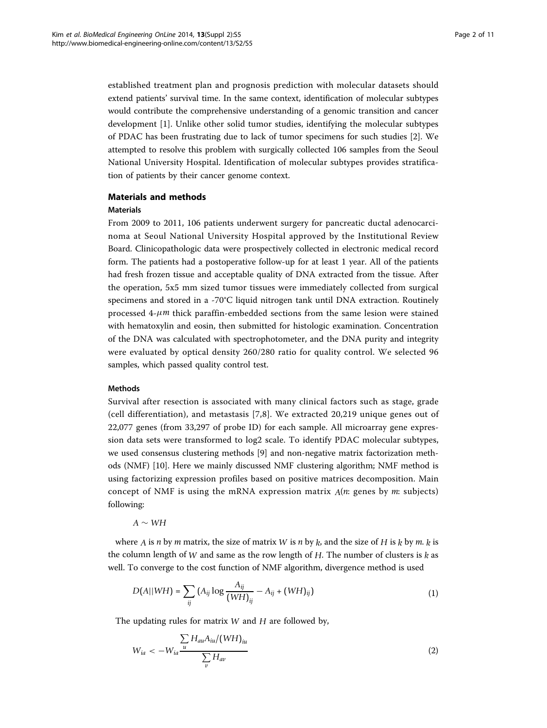established treatment plan and prognosis prediction with molecular datasets should extend patients' survival time. In the same context, identification of molecular subtypes would contribute the comprehensive understanding of a genomic transition and cancer development [[1](#page-9-0)]. Unlike other solid tumor studies, identifying the molecular subtypes of PDAC has been frustrating due to lack of tumor specimens for such studies [[2\]](#page-9-0). We attempted to resolve this problem with surgically collected 106 samples from the Seoul National University Hospital. Identification of molecular subtypes provides stratification of patients by their cancer genome context.

#### Materials and methods

# Materials

From 2009 to 2011, 106 patients underwent surgery for pancreatic ductal adenocarcinoma at Seoul National University Hospital approved by the Institutional Review Board. Clinicopathologic data were prospectively collected in electronic medical record form. The patients had a postoperative follow-up for at least 1 year. All of the patients had fresh frozen tissue and acceptable quality of DNA extracted from the tissue. After the operation, 5x5 mm sized tumor tissues were immediately collected from surgical specimens and stored in a -70°C liquid nitrogen tank until DNA extraction. Routinely processed  $4-\mu m$  thick paraffin-embedded sections from the same lesion were stained with hematoxylin and eosin, then submitted for histologic examination. Concentration of the DNA was calculated with spectrophotometer, and the DNA purity and integrity were evaluated by optical density 260/280 ratio for quality control. We selected 96 samples, which passed quality control test.

#### Methods

Survival after resection is associated with many clinical factors such as stage, grade (cell differentiation), and metastasis [[7](#page-9-0),[8\]](#page-9-0). We extracted 20,219 unique genes out of 22,077 genes (from 33,297 of probe ID) for each sample. All microarray gene expression data sets were transformed to log2 scale. To identify PDAC molecular subtypes, we used consensus clustering methods [\[9](#page-9-0)] and non-negative matrix factorization methods (NMF) [[10](#page-9-0)]. Here we mainly discussed NMF clustering algorithm; NMF method is using factorizing expression profiles based on positive matrices decomposition. Main concept of NMF is using the mRNA expression matrix *A*(*n*: genes by *m*: subjects) following:

*A* ∼ *WH*

where *A* is *n* by *m* matrix, the size of matrix *W* is *n* by  $k$ , and the size of *H* is  $k$  by *m*.  $k$  is the column length of *W* and same as the row length of *H*. The number of clusters is *k* as well. To converge to the cost function of NMF algorithm, divergence method is used

$$
D(A||WH) = \sum_{ij} (A_{ij} \log \frac{A_{ij}}{(WH)_{ij}} - A_{ij} + (WH)_{ij})
$$
 (1)

The updating rules for matrix *W* and *H* are followed by,

$$
W_{ia} < -W_{ia} \frac{\sum\limits_{u} H_{au} A_{iu} / (WH)_{iu}}{\sum\limits_{v} H_{av}}
$$
\n
$$
\tag{2}
$$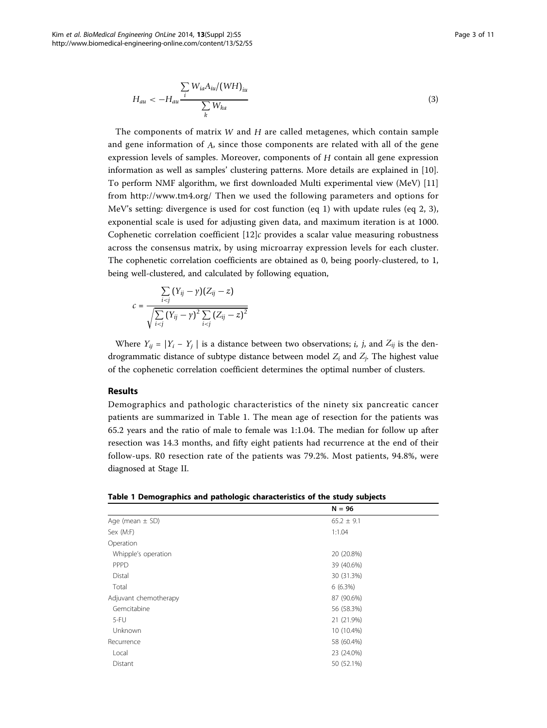$$
H_{au} < -H_{au} \frac{\sum\limits_{i} W_{ia} A_{iu} / (WH)_{iu}}{\sum\limits_{k} W_{ka}}
$$
\n
$$
\tag{3}
$$

The components of matrix *W* and *H* are called metagenes, which contain sample and gene information of *A*, since those components are related with all of the gene expression levels of samples. Moreover, components of *H* contain all gene expression information as well as samples' clustering patterns. More details are explained in [\[10](#page-9-0)]. To perform NMF algorithm, we first downloaded Multi experimental view (MeV) [[11](#page-10-0)] from<http://www.tm4.org/> Then we used the following parameters and options for MeV's setting: divergence is used for cost function (eq 1) with update rules (eq 2, 3), exponential scale is used for adjusting given data, and maximum iteration is at 1000. Cophenetic correlation coefficient [\[12](#page-10-0)]*c* provides a scalar value measuring robustness across the consensus matrix, by using microarray expression levels for each cluster. The cophenetic correlation coefficients are obtained as 0, being poorly-clustered, to 1, being well-clustered, and calculated by following equation,

$$
c = \frac{\sum\limits_{i < j} (Y_{ij} - \gamma)(Z_{ij} - z)}{\sqrt{\sum\limits_{i < j} (Y_{ij} - \gamma)^2 \sum\limits_{i < j} (Z_{ij} - z)^2}}
$$

Where  $Y_{ij} = |Y_i - Y_j|$  is a distance between two observations; *i*, *j*, and  $Z_{ij}$  is the dendrogrammatic distance of subtype distance between model *Zi* and *Zj*. The highest value of the cophenetic correlation coefficient determines the optimal number of clusters.

# Results

Demographics and pathologic characteristics of the ninety six pancreatic cancer patients are summarized in Table 1. The mean age of resection for the patients was 65.2 years and the ratio of male to female was 1:1.04. The median for follow up after resection was 14.3 months, and fifty eight patients had recurrence at the end of their follow-ups. R0 resection rate of the patients was 79.2%. Most patients, 94.8%, were diagnosed at Stage II.

|  |  |  |  | Table 1 Demographics and pathologic characteristics of the study subjects |
|--|--|--|--|---------------------------------------------------------------------------|
|--|--|--|--|---------------------------------------------------------------------------|

|                       | $N = 96$       |
|-----------------------|----------------|
| Age (mean $\pm$ SD)   | $65.2 \pm 9.1$ |
| Sex (M:F)             | 1:1.04         |
| Operation             |                |
| Whipple's operation   | 20 (20.8%)     |
| PPPD                  | 39 (40.6%)     |
| Distal                | 30 (31.3%)     |
| Total                 | $6(6.3\%)$     |
| Adjuvant chemotherapy | 87 (90.6%)     |
| Gemcitabine           | 56 (58.3%)     |
| $5-FU$                | 21 (21.9%)     |
| Unknown               | 10 (10.4%)     |
| Recurrence            | 58 (60.4%)     |
| Local                 | 23 (24.0%)     |
| Distant               | 50 (52.1%)     |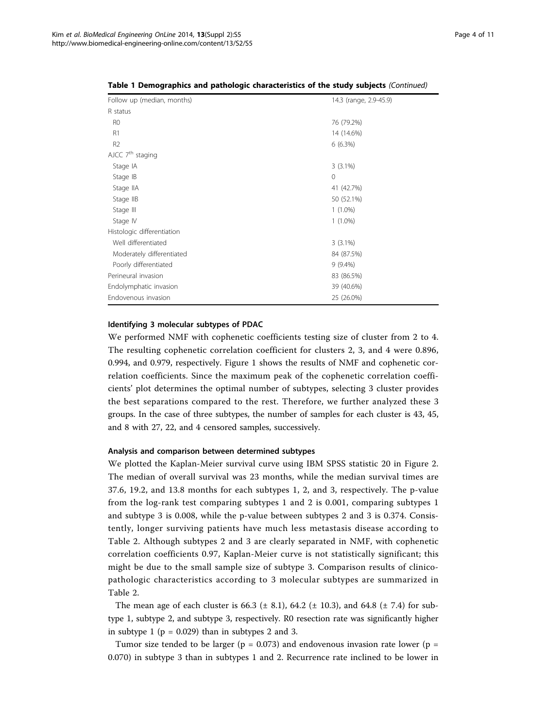| Follow up (median, months) | 14.3 (range, 2.9-45.9) |
|----------------------------|------------------------|
| R status                   |                        |
| R <sub>0</sub>             | 76 (79.2%)             |
| R1                         | 14 (14.6%)             |
| R <sub>2</sub>             | 6(6.3%)                |
| AJCC $7th$ staging         |                        |
| Stage IA                   | $3(3.1\%)$             |
| Stage IB                   | $\mathbf{0}$           |
| Stage IIA                  | 41 (42.7%)             |
| Stage IIB                  | 50 (52.1%)             |
| Stage III                  | $1(1.0\%)$             |
| Stage IV                   | $1(1.0\%)$             |
| Histologic differentiation |                        |
| Well differentiated        | $3(3.1\%)$             |
| Moderately differentiated  | 84 (87.5%)             |
| Poorly differentiated      | $9(9.4\%)$             |
| Perineural invasion        | 83 (86.5%)             |
| Endolymphatic invasion     | 39 (40.6%)             |
| Endovenous invasion        | 25 (26.0%)             |

Table 1 Demographics and pathologic characteristics of the study subjects (Continued)

#### Identifying 3 molecular subtypes of PDAC

We performed NMF with cophenetic coefficients testing size of cluster from 2 to 4. The resulting cophenetic correlation coefficient for clusters 2, 3, and 4 were 0.896, 0.994, and 0.979, respectively. Figure [1](#page-4-0) shows the results of NMF and cophenetic correlation coefficients. Since the maximum peak of the cophenetic correlation coefficients' plot determines the optimal number of subtypes, selecting 3 cluster provides the best separations compared to the rest. Therefore, we further analyzed these 3 groups. In the case of three subtypes, the number of samples for each cluster is 43, 45, and 8 with 27, 22, and 4 censored samples, successively.

#### Analysis and comparison between determined subtypes

We plotted the Kaplan-Meier survival curve using IBM SPSS statistic 20 in Figure [2](#page-4-0). The median of overall survival was 23 months, while the median survival times are 37.6, 19.2, and 13.8 months for each subtypes 1, 2, and 3, respectively. The p-value from the log-rank test comparing subtypes 1 and 2 is 0.001, comparing subtypes 1 and subtype 3 is 0.008, while the p-value between subtypes 2 and 3 is 0.374. Consistently, longer surviving patients have much less metastasis disease according to Table [2](#page-5-0). Although subtypes 2 and 3 are clearly separated in NMF, with cophenetic correlation coefficients 0.97, Kaplan-Meier curve is not statistically significant; this might be due to the small sample size of subtype 3. Comparison results of clinicopathologic characteristics according to 3 molecular subtypes are summarized in Table [2](#page-5-0).

The mean age of each cluster is 66.3 ( $\pm$  8.1), 64.2 ( $\pm$  10.3), and 64.8 ( $\pm$  7.4) for subtype 1, subtype 2, and subtype 3, respectively. R0 resection rate was significantly higher in subtype 1 ( $p = 0.029$ ) than in subtypes 2 and 3.

Tumor size tended to be larger ( $p = 0.073$ ) and endovenous invasion rate lower ( $p =$ 0.070) in subtype 3 than in subtypes 1 and 2. Recurrence rate inclined to be lower in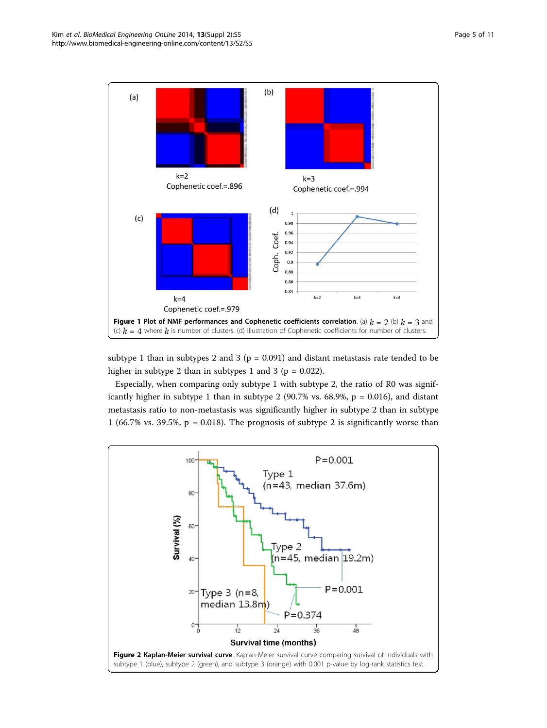<span id="page-4-0"></span>

subtype 1 than in subtypes 2 and 3 ( $p = 0.091$ ) and distant metastasis rate tended to be higher in subtype 2 than in subtypes 1 and 3 ( $p = 0.022$ ).

Especially, when comparing only subtype 1 with subtype 2, the ratio of R0 was significantly higher in subtype 1 than in subtype 2 (90.7% vs.  $68.9\%$ ,  $p = 0.016$ ), and distant metastasis ratio to non-metastasis was significantly higher in subtype 2 than in subtype 1 (66.7% vs. 39.5%,  $p = 0.018$ ). The prognosis of subtype 2 is significantly worse than

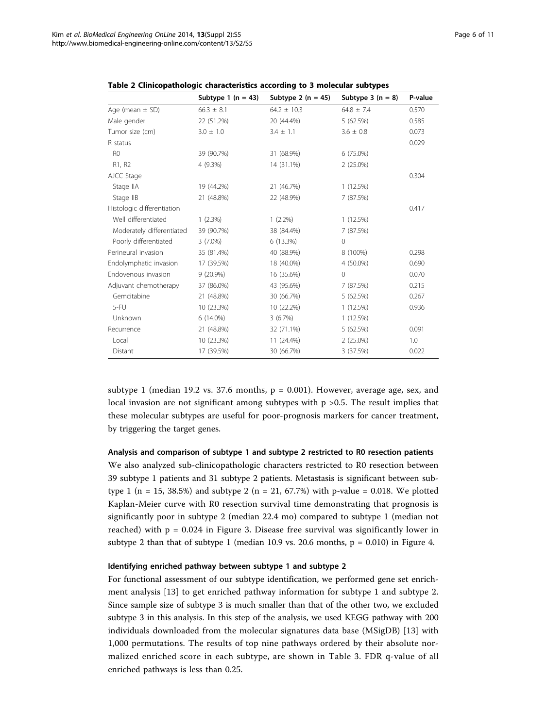|                            | Subtype 1 ( $n = 43$ ) | Subtype 2 ( $n = 45$ ) | Subtype $3(n = 8)$ | P-value |
|----------------------------|------------------------|------------------------|--------------------|---------|
| Age (mean $\pm$ SD)        | $66.3 \pm 8.1$         | $64.2 \pm 10.3$        | $64.8 \pm 7.4$     | 0.570   |
| Male gender                | 22 (51.2%)             | 20 (44.4%)             | 5(62.5%)           | 0.585   |
| Tumor size (cm)            | $3.0 \pm 1.0$          | $3.4 \pm 1.1$          | $3.6 \pm 0.8$      | 0.073   |
| R status                   |                        |                        |                    | 0.029   |
| R <sub>0</sub>             | 39 (90.7%)             | 31 (68.9%)             | 6 (75.0%)          |         |
| R1, R2                     | 4 (9.3%)               | 14 (31.1%)             | $2(25.0\%)$        |         |
| AJCC Stage                 |                        |                        |                    | 0.304   |
| Stage IIA                  | 19 (44.2%)             | 21 (46.7%)             | 1(12.5%)           |         |
| Stage IIB                  | 21 (48.8%)             | 22 (48.9%)             | 7 (87.5%)          |         |
| Histologic differentiation |                        |                        |                    | 0.417   |
| Well differentiated        | $1(2.3\%)$             | $1(2.2\%)$             | 1(12.5%)           |         |
| Moderately differentiated  | 39 (90.7%)             | 38 (84.4%)             | 7 (87.5%)          |         |
| Poorly differentiated      | $3(7.0\%)$             | 6 (13.3%)              | $\Omega$           |         |
| Perineural invasion        | 35 (81.4%)             | 40 (88.9%)             | 8 (100%)           | 0.298   |
| Endolymphatic invasion     | 17 (39.5%)             | 18 (40.0%)             | 4 (50.0%)          | 0.690   |
| Endovenous invasion        | $9(20.9\%)$            | 16 (35.6%)             | 0                  | 0.070   |
| Adjuvant chemotherapy      | 37 (86.0%)             | 43 (95.6%)             | 7 (87.5%)          | 0.215   |
| Gemcitabine                | 21 (48.8%)             | 30 (66.7%)             | 5(62.5%)           | 0.267   |
| 5-FU                       | 10 (23.3%)             | 10 (22.2%)             | 1(12.5%)           | 0.936   |
| Unknown                    | $6(14.0\%)$            | 3(6.7%)                | 1(12.5%)           |         |
| Recurrence                 | 21 (48.8%)             | 32 (71.1%)             | 5(62.5%)           | 0.091   |
| Local                      | 10 (23.3%)             | 11 (24.4%)             | $2(25.0\%)$        | 1.0     |
| Distant                    | 17 (39.5%)             | 30 (66.7%)             | 3 (37.5%)          | 0.022   |

<span id="page-5-0"></span>Table 2 Clinicopathologic characteristics according to 3 molecular subtypes

subtype 1 (median 19.2 vs. 37.6 months,  $p = 0.001$ ). However, average age, sex, and local invasion are not significant among subtypes with p >0.5. The result implies that these molecular subtypes are useful for poor-prognosis markers for cancer treatment, by triggering the target genes.

#### Analysis and comparison of subtype 1 and subtype 2 restricted to R0 resection patients

We also analyzed sub-clinicopathologic characters restricted to R0 resection between 39 subtype 1 patients and 31 subtype 2 patients. Metastasis is significant between subtype 1 (n = 15, 38.5%) and subtype 2 (n = 21, 67.7%) with p-value = 0.018. We plotted Kaplan-Meier curve with R0 resection survival time demonstrating that prognosis is significantly poor in subtype 2 (median 22.4 mo) compared to subtype 1 (median not reached) with  $p = 0.024$  in Figure [3.](#page-6-0) Disease free survival was significantly lower in subtype 2 than that of subtype 1 (median 10.9 vs. 20.6 months,  $p = 0.010$ ) in Figure [4](#page-6-0).

#### Identifying enriched pathway between subtype 1 and subtype 2

For functional assessment of our subtype identification, we performed gene set enrichment analysis [[13\]](#page-10-0) to get enriched pathway information for subtype 1 and subtype 2. Since sample size of subtype 3 is much smaller than that of the other two, we excluded subtype 3 in this analysis. In this step of the analysis, we used KEGG pathway with 200 individuals downloaded from the molecular signatures data base (MSigDB) [[13\]](#page-10-0) with 1,000 permutations. The results of top nine pathways ordered by their absolute normalized enriched score in each subtype, are shown in Table [3](#page-7-0). FDR q-value of all enriched pathways is less than 0.25.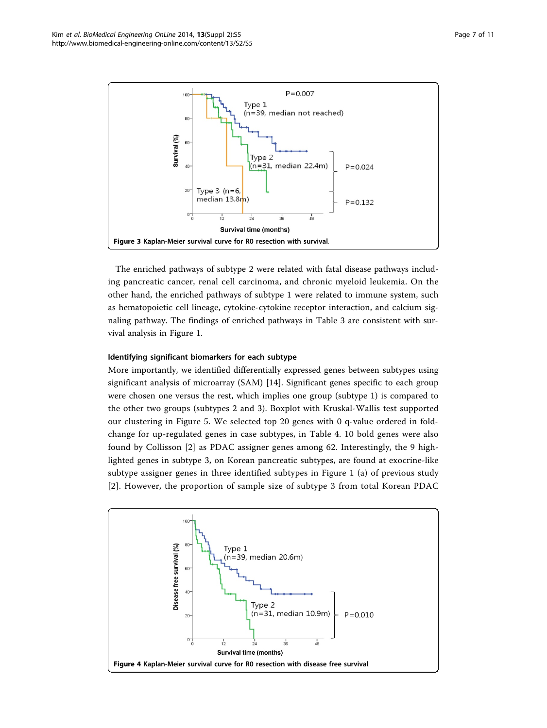<span id="page-6-0"></span>

The enriched pathways of subtype 2 were related with fatal disease pathways including pancreatic cancer, renal cell carcinoma, and chronic myeloid leukemia. On the other hand, the enriched pathways of subtype 1 were related to immune system, such as hematopoietic cell lineage, cytokine-cytokine receptor interaction, and calcium signaling pathway. The findings of enriched pathways in Table [3](#page-7-0) are consistent with survival analysis in Figure [1.](#page-4-0)

# Identifying significant biomarkers for each subtype

More importantly, we identified differentially expressed genes between subtypes using significant analysis of microarray (SAM) [\[14\]](#page-10-0). Significant genes specific to each group were chosen one versus the rest, which implies one group (subtype 1) is compared to the other two groups (subtypes 2 and 3). Boxplot with Kruskal-Wallis test supported our clustering in Figure [5](#page-7-0). We selected top 20 genes with 0 q-value ordered in foldchange for up-regulated genes in case subtypes, in Table [4.](#page-8-0) 10 bold genes were also found by Collisson [[2\]](#page-9-0) as PDAC assigner genes among 62. Interestingly, the 9 highlighted genes in subtype 3, on Korean pancreatic subtypes, are found at exocrine-like subtype assigner genes in three identified subtypes in Figure [1](#page-4-0) (a) of previous study [[2](#page-9-0)]. However, the proportion of sample size of subtype 3 from total Korean PDAC

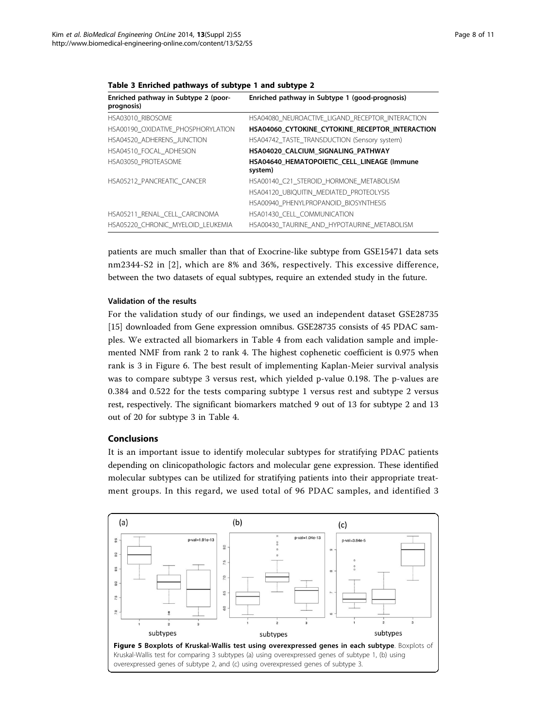| Enriched pathway in Subtype 2 (poor-<br>prognosis) | Enriched pathway in Subtype 1 (good-prognosis)         |
|----------------------------------------------------|--------------------------------------------------------|
| HSA03010 RIBOSOME                                  | HSA04080 NEUROACTIVE LIGAND RECEPTOR INTERACTION       |
| HSA00190 OXIDATIVE PHOSPHORYLATION                 | HSA04060 CYTOKINE CYTOKINE RECEPTOR INTERACTION        |
| HSA04520 ADHERENS JUNCTION                         | HSA04742 TASTE TRANSDUCTION (Sensory system)           |
| HSA04510 FOCAL ADHESION                            | HSA04020 CALCIUM SIGNALING PATHWAY                     |
| HSA03050 PROTEASOME                                | HSA04640 HEMATOPOIETIC CELL LINEAGE (Immune<br>system) |
| HSA05212 PANCREATIC CANCER                         | HSA00140 C21 STEROID HORMONE METABOLISM                |
|                                                    | HSA04120 UBIQUITIN MEDIATED PROTEOLYSIS                |
|                                                    | HSA00940 PHENYLPROPANOID BIOSYNTHESIS                  |
| HSA05211 RENAL CELL CARCINOMA                      | HSA01430 CELL COMMUNICATION                            |
| HSA05220 CHRONIC MYELOID LEUKEMIA                  | HSA00430 TAURINE AND HYPOTAURINE METABOLISM            |

<span id="page-7-0"></span>Table 3 Enriched pathways of subtype 1 and subtype 2

patients are much smaller than that of Exocrine-like subtype from GSE15471 data sets nm2344-S2 in [[2\]](#page-9-0), which are 8% and 36%, respectively. This excessive difference, between the two datasets of equal subtypes, require an extended study in the future.

# Validation of the results

For the validation study of our findings, we used an independent dataset GSE28735 [[15\]](#page-10-0) downloaded from Gene expression omnibus. GSE28735 consists of 45 PDAC samples. We extracted all biomarkers in Table [4](#page-8-0) from each validation sample and implemented NMF from rank 2 to rank 4. The highest cophenetic coefficient is 0.975 when rank is 3 in Figure [6](#page-8-0). The best result of implementing Kaplan-Meier survival analysis was to compare subtype 3 versus rest, which yielded p-value 0.198. The p-values are 0.384 and 0.522 for the tests comparing subtype 1 versus rest and subtype 2 versus rest, respectively. The significant biomarkers matched 9 out of 13 for subtype 2 and 13 out of 20 for subtype 3 in Table [4](#page-8-0).

# Conclusions

It is an important issue to identify molecular subtypes for stratifying PDAC patients depending on clinicopathologic factors and molecular gene expression. These identified molecular subtypes can be utilized for stratifying patients into their appropriate treatment groups. In this regard, we used total of 96 PDAC samples, and identified 3

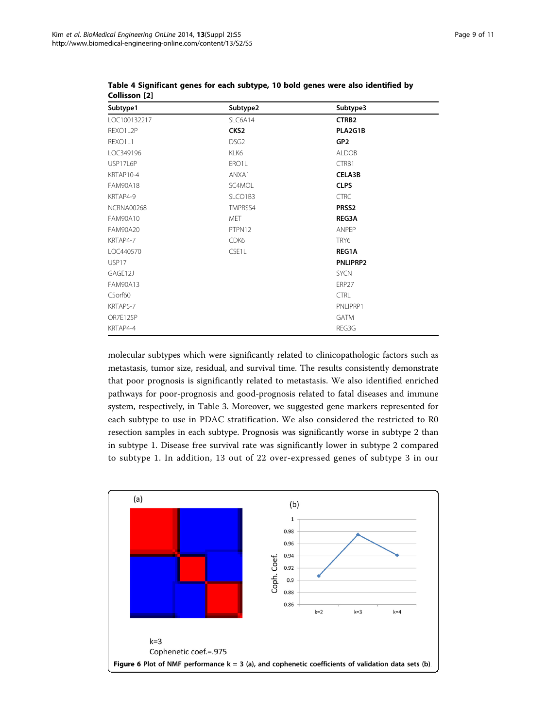| Subtype1          | Subtype2         | Subtype3          |
|-------------------|------------------|-------------------|
| LOC100132217      | SLC6A14          | CTRB <sub>2</sub> |
| REXO1L2P          | CKS <sub>2</sub> | PLA2G1B           |
| REXO1L1           | DSG <sub>2</sub> | GP <sub>2</sub>   |
| LOC349196         | KLK6             | <b>ALDOB</b>      |
| USP17L6P          | ERO1L            | CTRB1             |
| KRTAP10-4         | ANXA1            | CELA3B            |
| <b>FAM90A18</b>   | SC4MOL           | <b>CLPS</b>       |
| KRTAP4-9          | SLCO1B3          | <b>CTRC</b>       |
| <b>NCRNA00268</b> | TMPRSS4          | PRSS <sub>2</sub> |
| <b>FAM90A10</b>   | <b>MET</b>       | <b>REG3A</b>      |
| <b>FAM90A20</b>   | PTPN12           | ANPEP             |
| KRTAP4-7          | CDK6             | TRY6              |
| LOC440570         | CSE1L            | REG1A             |
| USP17             |                  | PNLIPRP2          |
| GAGE12J           |                  | <b>SYCN</b>       |
| FAM90A13          |                  | FRP <sub>27</sub> |
| C5orf60           |                  | <b>CTRL</b>       |
| KRTAP5-7          |                  | PNLIPRP1          |
| OR7E125P          |                  | <b>GATM</b>       |
| KRTAP4-4          |                  | REG3G             |
|                   |                  |                   |

<span id="page-8-0"></span>Table 4 Significant genes for each subtype, 10 bold genes were also identified by Collisson [\[2](#page-9-0)]

molecular subtypes which were significantly related to clinicopathologic factors such as metastasis, tumor size, residual, and survival time. The results consistently demonstrate that poor prognosis is significantly related to metastasis. We also identified enriched pathways for poor-prognosis and good-prognosis related to fatal diseases and immune system, respectively, in Table [3.](#page-7-0) Moreover, we suggested gene markers represented for each subtype to use in PDAC stratification. We also considered the restricted to R0 resection samples in each subtype. Prognosis was significantly worse in subtype 2 than in subtype 1. Disease free survival rate was significantly lower in subtype 2 compared to subtype 1. In addition, 13 out of 22 over-expressed genes of subtype 3 in our

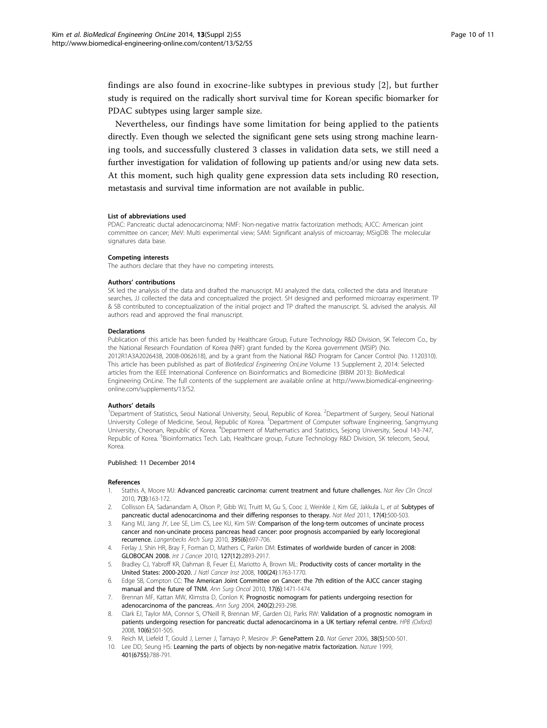<span id="page-9-0"></span>findings are also found in exocrine-like subtypes in previous study [2], but further study is required on the radically short survival time for Korean specific biomarker for PDAC subtypes using larger sample size.

Nevertheless, our findings have some limitation for being applied to the patients directly. Even though we selected the significant gene sets using strong machine learning tools, and successfully clustered 3 classes in validation data sets, we still need a further investigation for validation of following up patients and/or using new data sets. At this moment, such high quality gene expression data sets including R0 resection, metastasis and survival time information are not available in public.

#### List of abbreviations used

PDAC: Pancreatic ductal adenocarcinoma; NMF: Non-negative matrix factorization methods; AJCC: American joint committee on cancer; MeV: Multi experimental view; SAM: Significant analysis of microarray; MSigDB: The molecular signatures data base

#### Competing interests

The authors declare that they have no competing interests.

#### Authors' contributions

SK led the analysis of the data and drafted the manuscript. MJ analyzed the data, collected the data and literature searches, JJ collected the data and conceptualized the project. SH designed and performed microarray experiment. TP & SB contributed to conceptualization of the initial project and TP drafted the manuscript. SL advised the analysis. All authors read and approved the final manuscript.

#### Declarations

Publication of this article has been funded by Healthcare Group, Future Technology R&D Division, SK Telecom Co., by the National Research Foundation of Korea (NRF) grant funded by the Korea government (MSIP) (No. 2012R1A3A2026438, 2008-0062618), and by a grant from the National R&D Program for Cancer Control (No. 1120310). This article has been published as part of BioMedical Engineering OnLine Volume 13 Supplement 2, 2014: Selected articles from the IEEE International Conference on Bioinformatics and Biomedicine (BIBM 2013): BioMedical Engineering OnLine. The full contents of the supplement are available online at [http://www.biomedical-engineering](http://www.ncbi.nlm.nih.gov/pubmed/14523177?dopt=Abstract)[online.com/supplements/13/S2](http://www.ncbi.nlm.nih.gov/pubmed/14523177?dopt=Abstract).

**Authors' details**<br><sup>1</sup>Department of Statistics, Seoul National University, Seoul, Republic of Korea. <sup>2</sup>Department of Surgery, Seoul National University College of Medicine, Seoul, Republic of Korea. <sup>3</sup>Department of Computer software Engineering, Sangmyung University, Cheonan, Republic of Korea. <sup>4</sup>Department of Mathematics and Statistics, Sejong University, Seoul 143-747, Republic of Korea. <sup>5</sup>Bioinformatics Tech. Lab, Healthcare group, Future Technology R&D Division, SK telecom, Seoul, Korea.

#### Published: 11 December 2014

#### References

- 1. Stathis A, Moore MJ: [Advanced pancreatic carcinoma: current treatment and future challenges.](http://www.ncbi.nlm.nih.gov/pubmed/5354856?dopt=Abstract) Nat Rev Clin Oncol 2010, 7(3):163-172.
- 2. Collisson EA, Sadanandam A, Olson P, Gibb WJ, Truitt M, Gu S, Cooc J, Weinkle J, Kim GE, Jakkula L, et al: [Subtypes of](http://www.ncbi.nlm.nih.gov/pubmed/6660900?dopt=Abstract) [pancreatic ductal adenocarcinoma and their differing responses to therapy.](http://www.ncbi.nlm.nih.gov/pubmed/6660900?dopt=Abstract) Nat Med 2011, 17(4):500-503.
- 3. Kang MJ, Jang JY, Lee SE, Lim CS, Lee KU, Kim SW: [Comparison of the long-term outcomes of uncinate process](http://www.ncbi.nlm.nih.gov/pubmed/6518653?dopt=Abstract) [cancer and non-uncinate process pancreas head cancer: poor prognosis accompanied by early locoregional](http://www.ncbi.nlm.nih.gov/pubmed/6518653?dopt=Abstract) [recurrence.](http://www.ncbi.nlm.nih.gov/pubmed/6518653?dopt=Abstract) Langenbecks Arch Surg 2010, 395(6):697-706.
- 4. Ferlay J, Shin HR, Bray F, Forman D, Mathers C, Parkin DM: [Estimates of worldwide burden of cancer in 2008:](http://www.ncbi.nlm.nih.gov/pubmed/17890403?dopt=Abstract) [GLOBOCAN 2008.](http://www.ncbi.nlm.nih.gov/pubmed/17890403?dopt=Abstract) Int J Cancer 2010, 127(12):2893-2917.
- 5. Bradley CJ, Yabroff KR, Dahman B, Feuer EJ, Mariotto A, Brown ML: [Productivity costs of cancer mortality in the](http://www.ncbi.nlm.nih.gov/pubmed/11986435?dopt=Abstract) [United States: 2000-2020.](http://www.ncbi.nlm.nih.gov/pubmed/11986435?dopt=Abstract) J Natl Cancer Inst 2008, 100(24):1763-1770.
- 6. Edge SB, Compton CC: [The American Joint Committee on Cancer: the 7th edition of the AJCC cancer staging](http://www.ncbi.nlm.nih.gov/pubmed/23876221?dopt=Abstract) [manual and the future of TNM.](http://www.ncbi.nlm.nih.gov/pubmed/23876221?dopt=Abstract) Ann Surg Oncol 2010, 17(6):1471-1474.
- Brennan MF, Kattan MW, Klimstra D, Conlon K: [Prognostic nomogram for patients undergoing resection for](http://www.ncbi.nlm.nih.gov/pubmed/17381475?dopt=Abstract) [adenocarcinoma of the pancreas.](http://www.ncbi.nlm.nih.gov/pubmed/17381475?dopt=Abstract) Ann Surg 2004, 240(2):293-298.
- 8. Clark EJ, Taylor MA, Connor S, O'Neill R, Brennan MF, Garden OJ, Parks RW: [Validation of a prognostic nomogram in](http://www.ncbi.nlm.nih.gov/pubmed/22408190?dopt=Abstract) [patients undergoing resection for pancreatic ductal adenocarcinoma in a UK tertiary referral centre.](http://www.ncbi.nlm.nih.gov/pubmed/22408190?dopt=Abstract) HPB (Oxford) 2008, 10(6):501-505.
- 9. Reich M, Liefeld T, Gould J, Lerner J, Tamayo P, Mesirov JP: [GenePattern 2.0.](http://www.ncbi.nlm.nih.gov/pubmed/21481745?dopt=Abstract) Nat Genet 2006, 38(5):500-501.
- 10. Lee DD, Seung HS: [Learning the parts of objects by non-negative matrix factorization.](http://www.ncbi.nlm.nih.gov/pubmed/22003663?dopt=Abstract) Nature 1999, 401(6755):788-791.